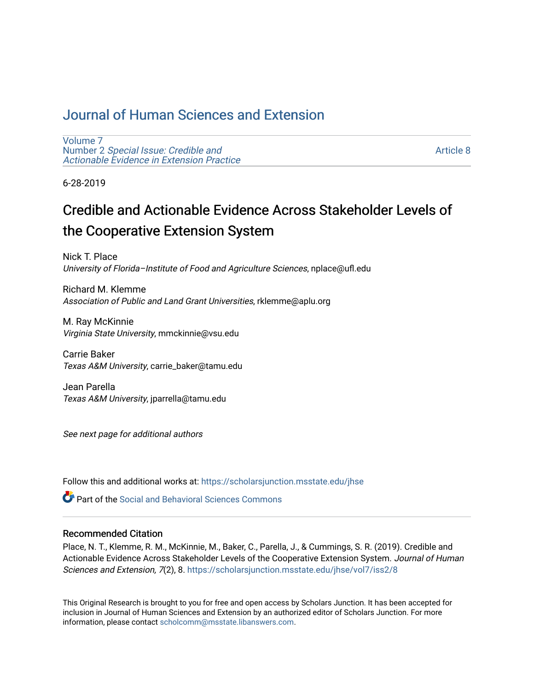# [Journal of Human Sciences and Extension](https://scholarsjunction.msstate.edu/jhse)

[Volume 7](https://scholarsjunction.msstate.edu/jhse/vol7) Number 2 [Special Issue: Credible and](https://scholarsjunction.msstate.edu/jhse/vol7/iss2)  [Actionable Evidence in Extension Practice](https://scholarsjunction.msstate.edu/jhse/vol7/iss2) 

[Article 8](https://scholarsjunction.msstate.edu/jhse/vol7/iss2/8) 

6-28-2019

# Credible and Actionable Evidence Across Stakeholder Levels of the Cooperative Extension System

Nick T. Place University of Florida–Institute of Food and Agriculture Sciences, nplace@ufl.edu

Richard M. Klemme Association of Public and Land Grant Universities, rklemme@aplu.org

M. Ray McKinnie Virginia State University, mmckinnie@vsu.edu

Carrie Baker Texas A&M University, carrie\_baker@tamu.edu

Jean Parella Texas A&M University, jparrella@tamu.edu

See next page for additional authors

Follow this and additional works at: [https://scholarsjunction.msstate.edu/jhse](https://scholarsjunction.msstate.edu/jhse?utm_source=scholarsjunction.msstate.edu%2Fjhse%2Fvol7%2Fiss2%2F8&utm_medium=PDF&utm_campaign=PDFCoverPages)

 $\bullet$  Part of the Social and Behavioral Sciences Commons

#### Recommended Citation

Place, N. T., Klemme, R. M., McKinnie, M., Baker, C., Parella, J., & Cummings, S. R. (2019). Credible and Actionable Evidence Across Stakeholder Levels of the Cooperative Extension System. Journal of Human Sciences and Extension, 7(2), 8. [https://scholarsjunction.msstate.edu/jhse/vol7/iss2/8](https://scholarsjunction.msstate.edu/jhse/vol7/iss2/8?utm_source=scholarsjunction.msstate.edu%2Fjhse%2Fvol7%2Fiss2%2F8&utm_medium=PDF&utm_campaign=PDFCoverPages)

This Original Research is brought to you for free and open access by Scholars Junction. It has been accepted for inclusion in Journal of Human Sciences and Extension by an authorized editor of Scholars Junction. For more information, please contact [scholcomm@msstate.libanswers.com](mailto:scholcomm@msstate.libanswers.com).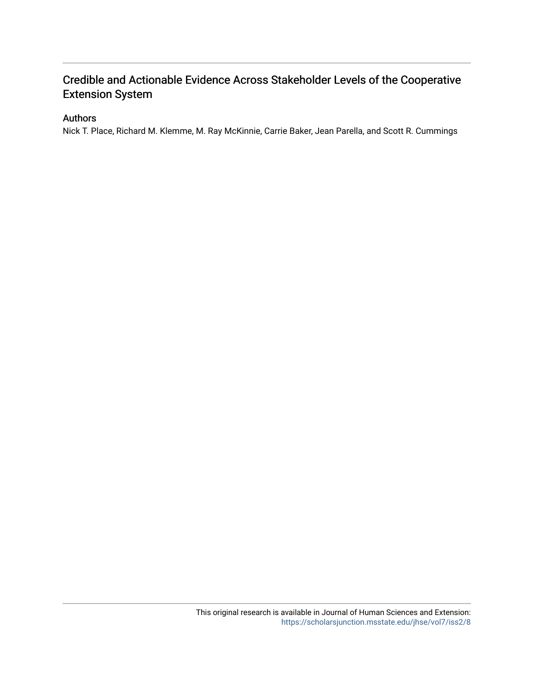# Credible and Actionable Evidence Across Stakeholder Levels of the Cooperative Extension System

#### Authors

Nick T. Place, Richard M. Klemme, M. Ray McKinnie, Carrie Baker, Jean Parella, and Scott R. Cummings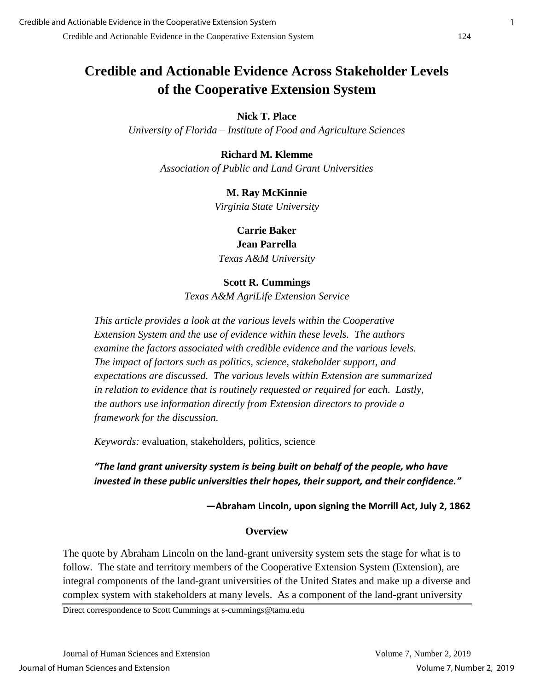# **Credible and Actionable Evidence Across Stakeholder Levels of the Cooperative Extension System**

# **Nick T. Place**

*University of Florida – Institute of Food and Agriculture Sciences*

# **Richard M. Klemme**

*Association of Public and Land Grant Universities*

# **M. Ray McKinnie**

*Virginia State University*

**Carrie Baker Jean Parrella** *Texas A&M University*

## **Scott R. Cummings**

*Texas A&M AgriLife Extension Service*

*This article provides a look at the various levels within the Cooperative Extension System and the use of evidence within these levels. The authors examine the factors associated with credible evidence and the various levels. The impact of factors such as politics, science, stakeholder support, and expectations are discussed. The various levels within Extension are summarized in relation to evidence that is routinely requested or required for each. Lastly, the authors use information directly from Extension directors to provide a framework for the discussion.*

*Keywords:* evaluation, stakeholders, politics, science

# *"The land grant university system is being built on behalf of the people, who have invested in these public universities their hopes, their support, and their confidence."*

**—Abraham Lincoln, upon signing the Morrill Act, July 2, 1862**

## **Overview**

The quote by Abraham Lincoln on the land-grant university system sets the stage for what is to follow. The state and territory members of the Cooperative Extension System (Extension), are integral components of the land-grant universities of the United States and make up a diverse and complex system with stakeholders at many levels. As a component of the land-grant university

Direct correspondence to Scott Cummings at s-cummings@tamu.edu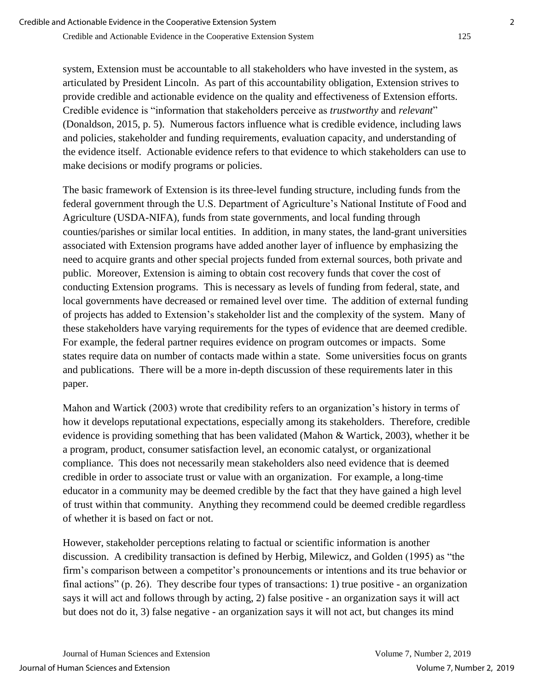system, Extension must be accountable to all stakeholders who have invested in the system, as articulated by President Lincoln. As part of this accountability obligation, Extension strives to provide credible and actionable evidence on the quality and effectiveness of Extension efforts. Credible evidence is "information that stakeholders perceive as *trustworthy* and *relevant*" (Donaldson, 2015, p. 5). Numerous factors influence what is credible evidence, including laws and policies, stakeholder and funding requirements, evaluation capacity, and understanding of the evidence itself. Actionable evidence refers to that evidence to which stakeholders can use to make decisions or modify programs or policies.

The basic framework of Extension is its three-level funding structure, including funds from the federal government through the U.S. Department of Agriculture's National Institute of Food and Agriculture (USDA-NIFA), funds from state governments, and local funding through counties/parishes or similar local entities. In addition, in many states, the land-grant universities associated with Extension programs have added another layer of influence by emphasizing the need to acquire grants and other special projects funded from external sources, both private and public. Moreover, Extension is aiming to obtain cost recovery funds that cover the cost of conducting Extension programs. This is necessary as levels of funding from federal, state, and local governments have decreased or remained level over time. The addition of external funding of projects has added to Extension's stakeholder list and the complexity of the system. Many of these stakeholders have varying requirements for the types of evidence that are deemed credible. For example, the federal partner requires evidence on program outcomes or impacts. Some states require data on number of contacts made within a state. Some universities focus on grants and publications. There will be a more in-depth discussion of these requirements later in this paper.

Mahon and Wartick (2003) wrote that credibility refers to an organization's history in terms of how it develops reputational expectations, especially among its stakeholders. Therefore, credible evidence is providing something that has been validated (Mahon & Wartick, 2003), whether it be a program, product, consumer satisfaction level, an economic catalyst, or organizational compliance. This does not necessarily mean stakeholders also need evidence that is deemed credible in order to associate trust or value with an organization. For example, a long-time educator in a community may be deemed credible by the fact that they have gained a high level of trust within that community. Anything they recommend could be deemed credible regardless of whether it is based on fact or not.

However, stakeholder perceptions relating to factual or scientific information is another discussion. A credibility transaction is defined by Herbig, Milewicz, and Golden (1995) as "the firm's comparison between a competitor's pronouncements or intentions and its true behavior or final actions" (p. 26). They describe four types of transactions: 1) true positive - an organization says it will act and follows through by acting, 2) false positive - an organization says it will act but does not do it, 3) false negative - an organization says it will not act, but changes its mind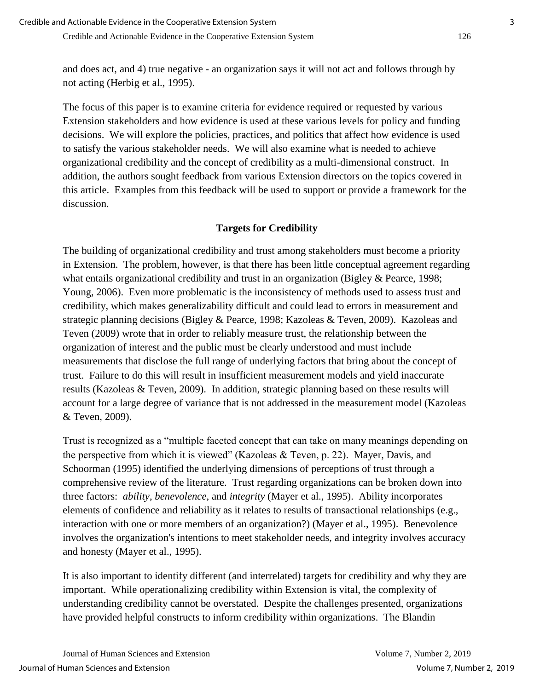and does act, and 4) true negative - an organization says it will not act and follows through by not acting (Herbig et al., 1995).

The focus of this paper is to examine criteria for evidence required or requested by various Extension stakeholders and how evidence is used at these various levels for policy and funding decisions. We will explore the policies, practices, and politics that affect how evidence is used to satisfy the various stakeholder needs. We will also examine what is needed to achieve organizational credibility and the concept of credibility as a multi-dimensional construct. In addition, the authors sought feedback from various Extension directors on the topics covered in this article. Examples from this feedback will be used to support or provide a framework for the discussion.

# **Targets for Credibility**

The building of organizational credibility and trust among stakeholders must become a priority in Extension. The problem, however, is that there has been little conceptual agreement regarding what entails organizational credibility and trust in an organization (Bigley & Pearce, 1998; Young, 2006). Even more problematic is the inconsistency of methods used to assess trust and credibility, which makes generalizability difficult and could lead to errors in measurement and strategic planning decisions (Bigley & Pearce, 1998; Kazoleas & Teven, 2009). Kazoleas and Teven (2009) wrote that in order to reliably measure trust, the relationship between the organization of interest and the public must be clearly understood and must include measurements that disclose the full range of underlying factors that bring about the concept of trust. Failure to do this will result in insufficient measurement models and yield inaccurate results (Kazoleas & Teven, 2009). In addition, strategic planning based on these results will account for a large degree of variance that is not addressed in the measurement model (Kazoleas & Teven, 2009).

Trust is recognized as a "multiple faceted concept that can take on many meanings depending on the perspective from which it is viewed" (Kazoleas & Teven, p. 22). Mayer, Davis, and Schoorman (1995) identified the underlying dimensions of perceptions of trust through a comprehensive review of the literature. Trust regarding organizations can be broken down into three factors: *ability*, *benevolence*, and *integrity* (Mayer et al., 1995). Ability incorporates elements of confidence and reliability as it relates to results of transactional relationships (e.g., interaction with one or more members of an organization?) (Mayer et al., 1995). Benevolence involves the organization's intentions to meet stakeholder needs, and integrity involves accuracy and honesty (Mayer et al., 1995).

It is also important to identify different (and interrelated) targets for credibility and why they are important. While operationalizing credibility within Extension is vital, the complexity of understanding credibility cannot be overstated. Despite the challenges presented, organizations have provided helpful constructs to inform credibility within organizations. The Blandin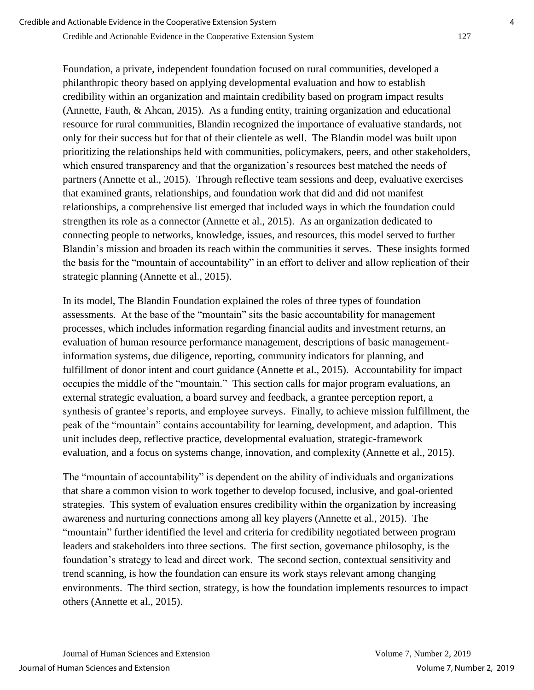Credible and Actionable Evidence in the Cooperative Extension System 127

Foundation, a private, independent foundation focused on rural communities, developed a philanthropic theory based on applying developmental evaluation and how to establish credibility within an organization and maintain credibility based on program impact results (Annette, Fauth, & Ahcan, 2015). As a funding entity, training organization and educational resource for rural communities, Blandin recognized the importance of evaluative standards, not only for their success but for that of their clientele as well. The Blandin model was built upon prioritizing the relationships held with communities, policymakers, peers, and other stakeholders, which ensured transparency and that the organization's resources best matched the needs of partners (Annette et al., 2015). Through reflective team sessions and deep, evaluative exercises that examined grants, relationships, and foundation work that did and did not manifest relationships, a comprehensive list emerged that included ways in which the foundation could strengthen its role as a connector (Annette et al., 2015). As an organization dedicated to connecting people to networks, knowledge, issues, and resources, this model served to further Blandin's mission and broaden its reach within the communities it serves. These insights formed the basis for the "mountain of accountability" in an effort to deliver and allow replication of their strategic planning (Annette et al., 2015).

In its model, The Blandin Foundation explained the roles of three types of foundation assessments. At the base of the "mountain" sits the basic accountability for management processes, which includes information regarding financial audits and investment returns, an evaluation of human resource performance management, descriptions of basic managementinformation systems, due diligence, reporting, community indicators for planning, and fulfillment of donor intent and court guidance (Annette et al., 2015). Accountability for impact occupies the middle of the "mountain." This section calls for major program evaluations, an external strategic evaluation, a board survey and feedback, a grantee perception report, a synthesis of grantee's reports, and employee surveys. Finally, to achieve mission fulfillment, the peak of the "mountain" contains accountability for learning, development, and adaption. This unit includes deep, reflective practice, developmental evaluation, strategic-framework evaluation, and a focus on systems change, innovation, and complexity (Annette et al., 2015).

The "mountain of accountability" is dependent on the ability of individuals and organizations that share a common vision to work together to develop focused, inclusive, and goal-oriented strategies. This system of evaluation ensures credibility within the organization by increasing awareness and nurturing connections among all key players (Annette et al., 2015). The "mountain" further identified the level and criteria for credibility negotiated between program leaders and stakeholders into three sections. The first section, governance philosophy, is the foundation's strategy to lead and direct work. The second section, contextual sensitivity and trend scanning, is how the foundation can ensure its work stays relevant among changing environments. The third section, strategy, is how the foundation implements resources to impact others (Annette et al., 2015).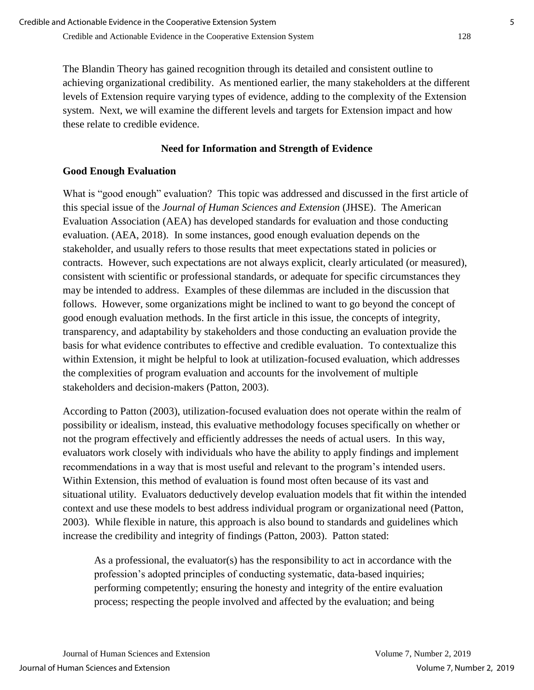The Blandin Theory has gained recognition through its detailed and consistent outline to achieving organizational credibility. As mentioned earlier, the many stakeholders at the different levels of Extension require varying types of evidence, adding to the complexity of the Extension system. Next, we will examine the different levels and targets for Extension impact and how these relate to credible evidence.

# **Need for Information and Strength of Evidence**

# **Good Enough Evaluation**

What is "good enough" evaluation? This topic was addressed and discussed in the first article of this special issue of the *Journal of Human Sciences and Extension* (JHSE). The American Evaluation Association (AEA) has developed standards for evaluation and those conducting evaluation. (AEA, 2018). In some instances, good enough evaluation depends on the stakeholder, and usually refers to those results that meet expectations stated in policies or contracts. However, such expectations are not always explicit, clearly articulated (or measured), consistent with scientific or professional standards, or adequate for specific circumstances they may be intended to address. Examples of these dilemmas are included in the discussion that follows. However, some organizations might be inclined to want to go beyond the concept of good enough evaluation methods. In the first article in this issue, the concepts of integrity, transparency, and adaptability by stakeholders and those conducting an evaluation provide the basis for what evidence contributes to effective and credible evaluation. To contextualize this within Extension, it might be helpful to look at utilization-focused evaluation, which addresses the complexities of program evaluation and accounts for the involvement of multiple stakeholders and decision-makers (Patton, 2003).

According to Patton (2003), utilization-focused evaluation does not operate within the realm of possibility or idealism, instead, this evaluative methodology focuses specifically on whether or not the program effectively and efficiently addresses the needs of actual users. In this way, evaluators work closely with individuals who have the ability to apply findings and implement recommendations in a way that is most useful and relevant to the program's intended users. Within Extension, this method of evaluation is found most often because of its vast and situational utility. Evaluators deductively develop evaluation models that fit within the intended context and use these models to best address individual program or organizational need (Patton, 2003). While flexible in nature, this approach is also bound to standards and guidelines which increase the credibility and integrity of findings (Patton, 2003). Patton stated:

As a professional, the evaluator(s) has the responsibility to act in accordance with the profession's adopted principles of conducting systematic, data-based inquiries; performing competently; ensuring the honesty and integrity of the entire evaluation process; respecting the people involved and affected by the evaluation; and being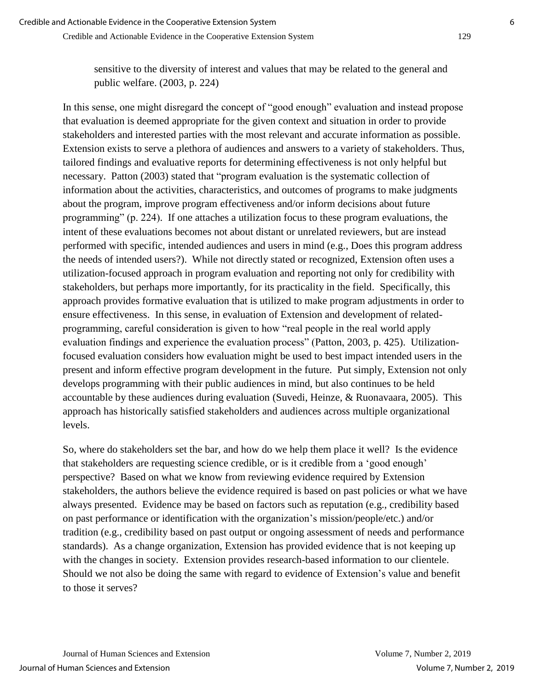sensitive to the diversity of interest and values that may be related to the general and public welfare. (2003, p. 224)

In this sense, one might disregard the concept of "good enough" evaluation and instead propose that evaluation is deemed appropriate for the given context and situation in order to provide stakeholders and interested parties with the most relevant and accurate information as possible. Extension exists to serve a plethora of audiences and answers to a variety of stakeholders. Thus, tailored findings and evaluative reports for determining effectiveness is not only helpful but necessary. Patton (2003) stated that "program evaluation is the systematic collection of information about the activities, characteristics, and outcomes of programs to make judgments about the program, improve program effectiveness and/or inform decisions about future programming" (p. 224). If one attaches a utilization focus to these program evaluations, the intent of these evaluations becomes not about distant or unrelated reviewers, but are instead performed with specific, intended audiences and users in mind (e.g., Does this program address the needs of intended users?). While not directly stated or recognized, Extension often uses a utilization-focused approach in program evaluation and reporting not only for credibility with stakeholders, but perhaps more importantly, for its practicality in the field. Specifically, this approach provides formative evaluation that is utilized to make program adjustments in order to ensure effectiveness. In this sense, in evaluation of Extension and development of relatedprogramming, careful consideration is given to how "real people in the real world apply evaluation findings and experience the evaluation process" (Patton, 2003, p. 425). Utilizationfocused evaluation considers how evaluation might be used to best impact intended users in the present and inform effective program development in the future. Put simply, Extension not only develops programming with their public audiences in mind, but also continues to be held accountable by these audiences during evaluation (Suvedi, Heinze, & Ruonavaara, 2005). This approach has historically satisfied stakeholders and audiences across multiple organizational levels.

So, where do stakeholders set the bar, and how do we help them place it well? Is the evidence that stakeholders are requesting science credible, or is it credible from a 'good enough' perspective? Based on what we know from reviewing evidence required by Extension stakeholders, the authors believe the evidence required is based on past policies or what we have always presented. Evidence may be based on factors such as reputation (e.g., credibility based on past performance or identification with the organization's mission/people/etc.) and/or tradition (e.g., credibility based on past output or ongoing assessment of needs and performance standards). As a change organization, Extension has provided evidence that is not keeping up with the changes in society. Extension provides research-based information to our clientele. Should we not also be doing the same with regard to evidence of Extension's value and benefit to those it serves?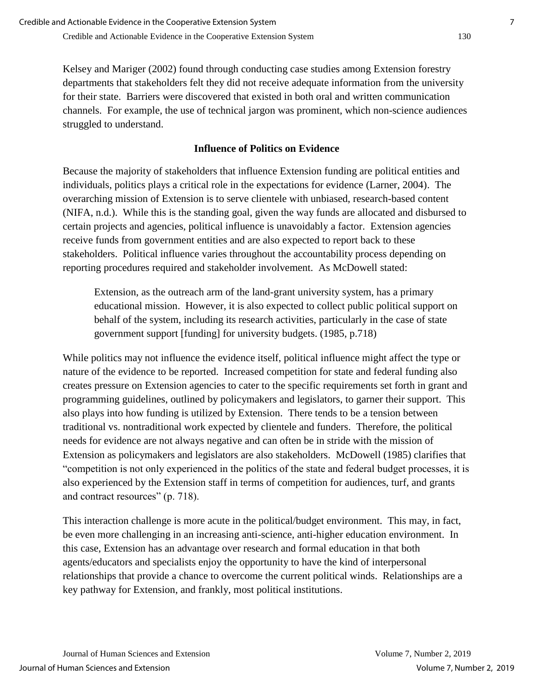Kelsey and Mariger (2002) found through conducting case studies among Extension forestry departments that stakeholders felt they did not receive adequate information from the university for their state. Barriers were discovered that existed in both oral and written communication channels. For example, the use of technical jargon was prominent, which non-science audiences struggled to understand.

# **Influence of Politics on Evidence**

Because the majority of stakeholders that influence Extension funding are political entities and individuals, politics plays a critical role in the expectations for evidence (Larner, 2004). The overarching mission of Extension is to serve clientele with unbiased, research-based content (NIFA, n.d.). While this is the standing goal, given the way funds are allocated and disbursed to certain projects and agencies, political influence is unavoidably a factor. Extension agencies receive funds from government entities and are also expected to report back to these stakeholders. Political influence varies throughout the accountability process depending on reporting procedures required and stakeholder involvement. As McDowell stated:

Extension, as the outreach arm of the land-grant university system, has a primary educational mission. However, it is also expected to collect public political support on behalf of the system, including its research activities, particularly in the case of state government support [funding] for university budgets. (1985, p.718)

While politics may not influence the evidence itself, political influence might affect the type or nature of the evidence to be reported. Increased competition for state and federal funding also creates pressure on Extension agencies to cater to the specific requirements set forth in grant and programming guidelines, outlined by policymakers and legislators, to garner their support. This also plays into how funding is utilized by Extension. There tends to be a tension between traditional vs. nontraditional work expected by clientele and funders. Therefore, the political needs for evidence are not always negative and can often be in stride with the mission of Extension as policymakers and legislators are also stakeholders. McDowell (1985) clarifies that "competition is not only experienced in the politics of the state and federal budget processes, it is also experienced by the Extension staff in terms of competition for audiences, turf, and grants and contract resources" (p. 718).

This interaction challenge is more acute in the political/budget environment. This may, in fact, be even more challenging in an increasing anti-science, anti-higher education environment. In this case, Extension has an advantage over research and formal education in that both agents/educators and specialists enjoy the opportunity to have the kind of interpersonal relationships that provide a chance to overcome the current political winds. Relationships are a key pathway for Extension, and frankly, most political institutions.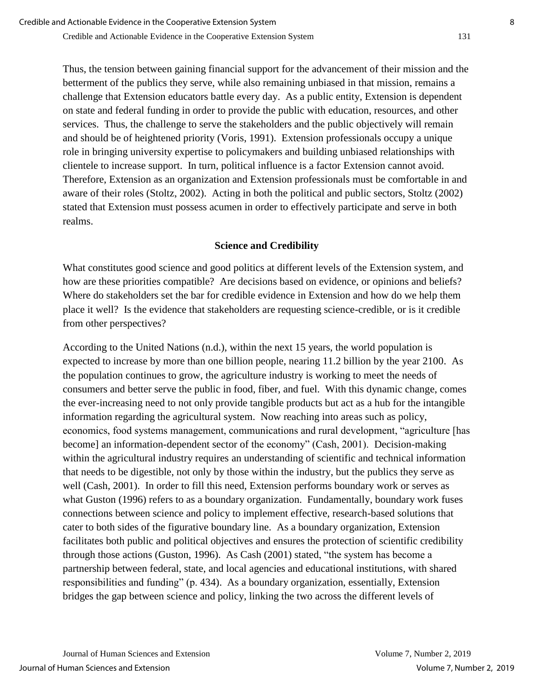Thus, the tension between gaining financial support for the advancement of their mission and the betterment of the publics they serve, while also remaining unbiased in that mission, remains a challenge that Extension educators battle every day. As a public entity, Extension is dependent on state and federal funding in order to provide the public with education, resources, and other services. Thus, the challenge to serve the stakeholders and the public objectively will remain and should be of heightened priority (Voris, 1991). Extension professionals occupy a unique role in bringing university expertise to policymakers and building unbiased relationships with clientele to increase support. In turn, political influence is a factor Extension cannot avoid. Therefore, Extension as an organization and Extension professionals must be comfortable in and aware of their roles (Stoltz, 2002). Acting in both the political and public sectors, Stoltz (2002) stated that Extension must possess acumen in order to effectively participate and serve in both realms.

#### **Science and Credibility**

What constitutes good science and good politics at different levels of the Extension system, and how are these priorities compatible? Are decisions based on evidence, or opinions and beliefs? Where do stakeholders set the bar for credible evidence in Extension and how do we help them place it well? Is the evidence that stakeholders are requesting science-credible, or is it credible from other perspectives?

According to the United Nations (n.d.), within the next 15 years, the world population is expected to increase by more than one billion people, nearing 11.2 billion by the year 2100. As the population continues to grow, the agriculture industry is working to meet the needs of consumers and better serve the public in food, fiber, and fuel. With this dynamic change, comes the ever-increasing need to not only provide tangible products but act as a hub for the intangible information regarding the agricultural system. Now reaching into areas such as policy, economics, food systems management, communications and rural development, "agriculture [has become] an information-dependent sector of the economy" (Cash, 2001). Decision-making within the agricultural industry requires an understanding of scientific and technical information that needs to be digestible, not only by those within the industry, but the publics they serve as well (Cash, 2001). In order to fill this need, Extension performs boundary work or serves as what Guston (1996) refers to as a boundary organization. Fundamentally, boundary work fuses connections between science and policy to implement effective, research-based solutions that cater to both sides of the figurative boundary line. As a boundary organization, Extension facilitates both public and political objectives and ensures the protection of scientific credibility through those actions (Guston, 1996). As Cash (2001) stated, "the system has become a partnership between federal, state, and local agencies and educational institutions, with shared responsibilities and funding" (p. 434). As a boundary organization, essentially, Extension bridges the gap between science and policy, linking the two across the different levels of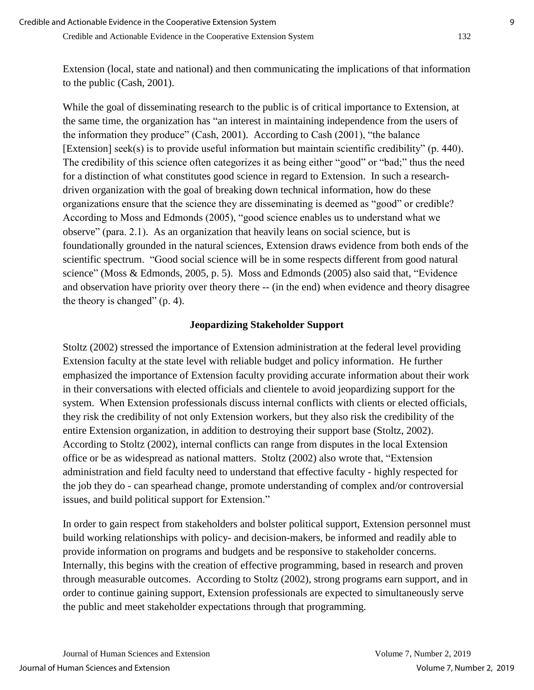Extension (local, state and national) and then communicating the implications of that information to the public (Cash, 2001).

While the goal of disseminating research to the public is of critical importance to Extension, at the same time, the organization has "an interest in maintaining independence from the users of the information they produce" (Cash, 2001). According to Cash (2001), "the balance [Extension] seek(s) is to provide useful information but maintain scientific credibility" (p. 440). The credibility of this science often categorizes it as being either "good" or "bad;" thus the need for a distinction of what constitutes good science in regard to Extension. In such a researchdriven organization with the goal of breaking down technical information, how do these organizations ensure that the science they are disseminating is deemed as "good" or credible? According to Moss and Edmonds (2005), "good science enables us to understand what we observe" (para. 2.1). As an organization that heavily leans on social science, but is foundationally grounded in the natural sciences, Extension draws evidence from both ends of the scientific spectrum. "Good social science will be in some respects different from good natural science" (Moss & Edmonds, 2005, p. 5). Moss and Edmonds (2005) also said that, "Evidence and observation have priority over theory there -- (in the end) when evidence and theory disagree the theory is changed" (p. 4).

# **Jeopardizing Stakeholder Support**

Stoltz (2002) stressed the importance of Extension administration at the federal level providing Extension faculty at the state level with reliable budget and policy information. He further emphasized the importance of Extension faculty providing accurate information about their work in their conversations with elected officials and clientele to avoid jeopardizing support for the system. When Extension professionals discuss internal conflicts with clients or elected officials, they risk the credibility of not only Extension workers, but they also risk the credibility of the entire Extension organization, in addition to destroying their support base (Stoltz, 2002). According to Stoltz (2002), internal conflicts can range from disputes in the local Extension office or be as widespread as national matters. Stoltz (2002) also wrote that, "Extension administration and field faculty need to understand that effective faculty - highly respected for the job they do - can spearhead change, promote understanding of complex and/or controversial issues, and build political support for Extension."

In order to gain respect from stakeholders and bolster political support, Extension personnel must build working relationships with policy- and decision-makers, be informed and readily able to provide information on programs and budgets and be responsive to stakeholder concerns. Internally, this begins with the creation of effective programming, based in research and proven through measurable outcomes. According to Stoltz (2002), strong programs earn support, and in order to continue gaining support, Extension professionals are expected to simultaneously serve the public and meet stakeholder expectations through that programming.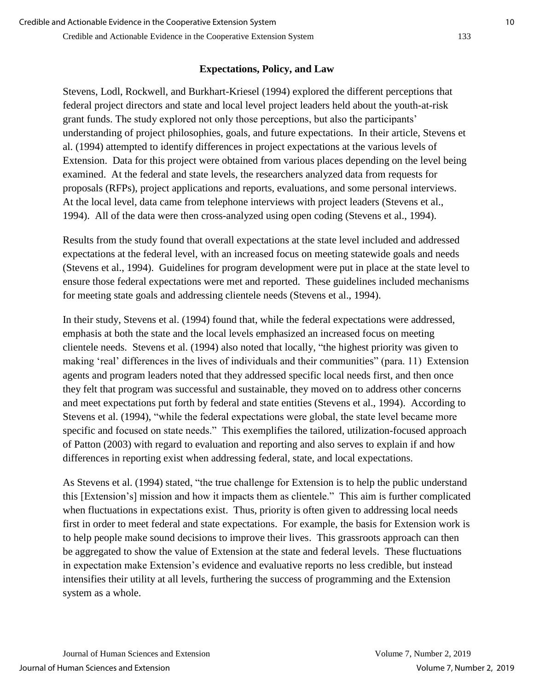# **Expectations, Policy, and Law**

Stevens, Lodl, Rockwell, and Burkhart-Kriesel (1994) explored the different perceptions that federal project directors and state and local level project leaders held about the youth-at-risk grant funds. The study explored not only those perceptions, but also the participants' understanding of project philosophies, goals, and future expectations. In their article, Stevens et al. (1994) attempted to identify differences in project expectations at the various levels of Extension. Data for this project were obtained from various places depending on the level being examined. At the federal and state levels, the researchers analyzed data from requests for proposals (RFPs), project applications and reports, evaluations, and some personal interviews. At the local level, data came from telephone interviews with project leaders (Stevens et al., 1994). All of the data were then cross-analyzed using open coding (Stevens et al., 1994).

Results from the study found that overall expectations at the state level included and addressed expectations at the federal level, with an increased focus on meeting statewide goals and needs (Stevens et al., 1994). Guidelines for program development were put in place at the state level to ensure those federal expectations were met and reported. These guidelines included mechanisms for meeting state goals and addressing clientele needs (Stevens et al., 1994).

In their study, Stevens et al. (1994) found that, while the federal expectations were addressed, emphasis at both the state and the local levels emphasized an increased focus on meeting clientele needs. Stevens et al. (1994) also noted that locally, "the highest priority was given to making 'real' differences in the lives of individuals and their communities" (para. 11) Extension agents and program leaders noted that they addressed specific local needs first, and then once they felt that program was successful and sustainable, they moved on to address other concerns and meet expectations put forth by federal and state entities (Stevens et al., 1994). According to Stevens et al. (1994), "while the federal expectations were global, the state level became more specific and focused on state needs." This exemplifies the tailored, utilization-focused approach of Patton (2003) with regard to evaluation and reporting and also serves to explain if and how differences in reporting exist when addressing federal, state, and local expectations.

As Stevens et al. (1994) stated, "the true challenge for Extension is to help the public understand this [Extension's] mission and how it impacts them as clientele." This aim is further complicated when fluctuations in expectations exist. Thus, priority is often given to addressing local needs first in order to meet federal and state expectations. For example, the basis for Extension work is to help people make sound decisions to improve their lives. This grassroots approach can then be aggregated to show the value of Extension at the state and federal levels. These fluctuations in expectation make Extension's evidence and evaluative reports no less credible, but instead intensifies their utility at all levels, furthering the success of programming and the Extension system as a whole.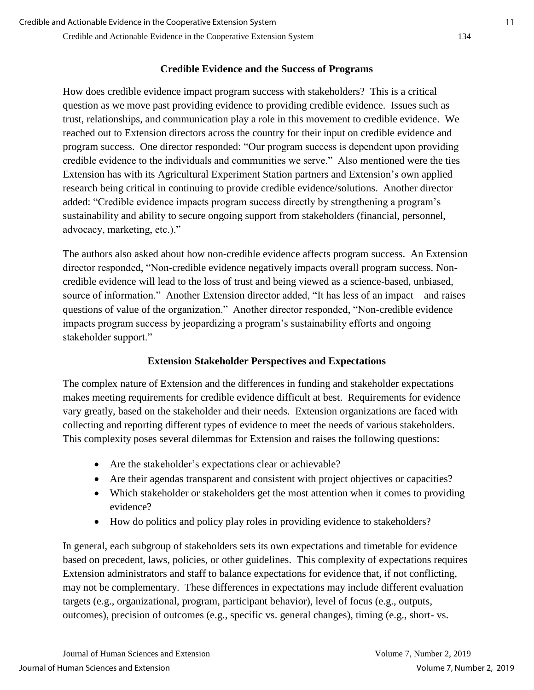#### Credible and Actionable Evidence in the Cooperative Extension System 134

# **Credible Evidence and the Success of Programs**

How does credible evidence impact program success with stakeholders? This is a critical question as we move past providing evidence to providing credible evidence. Issues such as trust, relationships, and communication play a role in this movement to credible evidence. We reached out to Extension directors across the country for their input on credible evidence and program success. One director responded: "Our program success is dependent upon providing credible evidence to the individuals and communities we serve." Also mentioned were the ties Extension has with its Agricultural Experiment Station partners and Extension's own applied research being critical in continuing to provide credible evidence/solutions. Another director added: "Credible evidence impacts program success directly by strengthening a program's sustainability and ability to secure ongoing support from stakeholders (financial, personnel, advocacy, marketing, etc.)."

The authors also asked about how non-credible evidence affects program success. An Extension director responded, "Non-credible evidence negatively impacts overall program success. Noncredible evidence will lead to the loss of trust and being viewed as a science-based, unbiased, source of information." Another Extension director added, "It has less of an impact—and raises questions of value of the organization." Another director responded, "Non-credible evidence impacts program success by jeopardizing a program's sustainability efforts and ongoing stakeholder support."

# **Extension Stakeholder Perspectives and Expectations**

The complex nature of Extension and the differences in funding and stakeholder expectations makes meeting requirements for credible evidence difficult at best. Requirements for evidence vary greatly, based on the stakeholder and their needs. Extension organizations are faced with collecting and reporting different types of evidence to meet the needs of various stakeholders. This complexity poses several dilemmas for Extension and raises the following questions:

- Are the stakeholder's expectations clear or achievable?
- Are their agendas transparent and consistent with project objectives or capacities?
- Which stakeholder or stakeholders get the most attention when it comes to providing evidence?
- How do politics and policy play roles in providing evidence to stakeholders?

In general, each subgroup of stakeholders sets its own expectations and timetable for evidence based on precedent, laws, policies, or other guidelines. This complexity of expectations requires Extension administrators and staff to balance expectations for evidence that, if not conflicting, may not be complementary. These differences in expectations may include different evaluation targets (e.g., organizational, program, participant behavior), level of focus (e.g., outputs, outcomes), precision of outcomes (e.g., specific vs. general changes), timing (e.g., short- vs.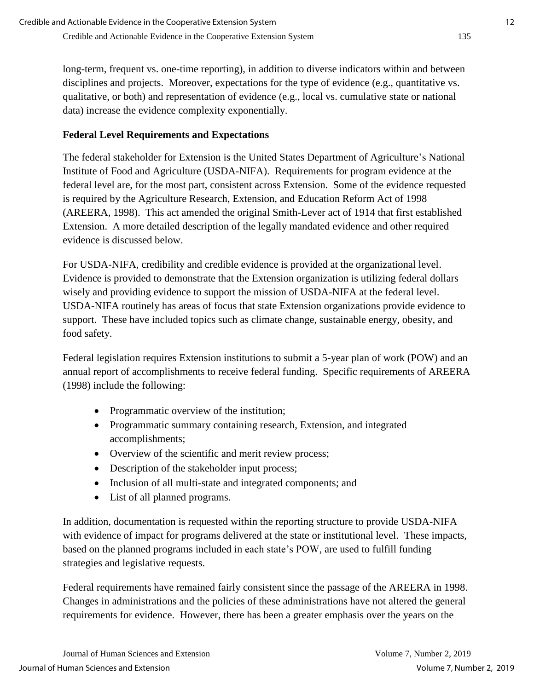long-term, frequent vs. one-time reporting), in addition to diverse indicators within and between disciplines and projects. Moreover, expectations for the type of evidence (e.g., quantitative vs. qualitative, or both) and representation of evidence (e.g., local vs. cumulative state or national data) increase the evidence complexity exponentially.

# **Federal Level Requirements and Expectations**

The federal stakeholder for Extension is the United States Department of Agriculture's National Institute of Food and Agriculture (USDA-NIFA). Requirements for program evidence at the federal level are, for the most part, consistent across Extension. Some of the evidence requested is required by the Agriculture Research, Extension, and Education Reform Act of 1998 (AREERA, 1998). This act amended the original Smith-Lever act of 1914 that first established Extension. A more detailed description of the legally mandated evidence and other required evidence is discussed below.

For USDA-NIFA, credibility and credible evidence is provided at the organizational level. Evidence is provided to demonstrate that the Extension organization is utilizing federal dollars wisely and providing evidence to support the mission of USDA-NIFA at the federal level. USDA-NIFA routinely has areas of focus that state Extension organizations provide evidence to support. These have included topics such as climate change, sustainable energy, obesity, and food safety.

Federal legislation requires Extension institutions to submit a 5-year plan of work (POW) and an annual report of accomplishments to receive federal funding. Specific requirements of AREERA (1998) include the following:

- Programmatic overview of the institution;
- Programmatic summary containing research, Extension, and integrated accomplishments;
- Overview of the scientific and merit review process;
- Description of the stakeholder input process;
- Inclusion of all multi-state and integrated components; and
- List of all planned programs.

In addition, documentation is requested within the reporting structure to provide USDA-NIFA with evidence of impact for programs delivered at the state or institutional level. These impacts, based on the planned programs included in each state's POW, are used to fulfill funding strategies and legislative requests.

Federal requirements have remained fairly consistent since the passage of the AREERA in 1998. Changes in administrations and the policies of these administrations have not altered the general requirements for evidence. However, there has been a greater emphasis over the years on the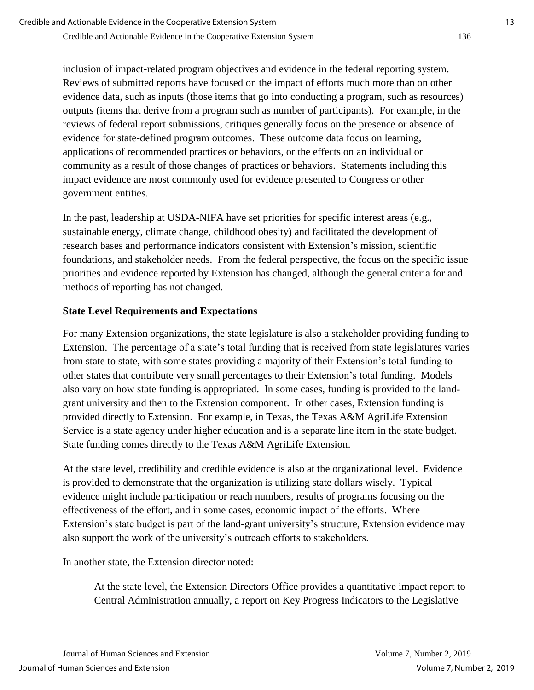inclusion of impact-related program objectives and evidence in the federal reporting system. Reviews of submitted reports have focused on the impact of efforts much more than on other evidence data, such as inputs (those items that go into conducting a program, such as resources) outputs (items that derive from a program such as number of participants). For example, in the reviews of federal report submissions, critiques generally focus on the presence or absence of evidence for state-defined program outcomes. These outcome data focus on learning, applications of recommended practices or behaviors, or the effects on an individual or community as a result of those changes of practices or behaviors. Statements including this impact evidence are most commonly used for evidence presented to Congress or other government entities.

In the past, leadership at USDA-NIFA have set priorities for specific interest areas (e.g., sustainable energy, climate change, childhood obesity) and facilitated the development of research bases and performance indicators consistent with Extension's mission, scientific foundations, and stakeholder needs. From the federal perspective, the focus on the specific issue priorities and evidence reported by Extension has changed, although the general criteria for and methods of reporting has not changed.

## **State Level Requirements and Expectations**

For many Extension organizations, the state legislature is also a stakeholder providing funding to Extension. The percentage of a state's total funding that is received from state legislatures varies from state to state, with some states providing a majority of their Extension's total funding to other states that contribute very small percentages to their Extension's total funding. Models also vary on how state funding is appropriated. In some cases, funding is provided to the landgrant university and then to the Extension component. In other cases, Extension funding is provided directly to Extension. For example, in Texas, the Texas A&M AgriLife Extension Service is a state agency under higher education and is a separate line item in the state budget. State funding comes directly to the Texas A&M AgriLife Extension.

At the state level, credibility and credible evidence is also at the organizational level. Evidence is provided to demonstrate that the organization is utilizing state dollars wisely. Typical evidence might include participation or reach numbers, results of programs focusing on the effectiveness of the effort, and in some cases, economic impact of the efforts. Where Extension's state budget is part of the land-grant university's structure, Extension evidence may also support the work of the university's outreach efforts to stakeholders.

In another state, the Extension director noted:

At the state level, the Extension Directors Office provides a quantitative impact report to Central Administration annually, a report on Key Progress Indicators to the Legislative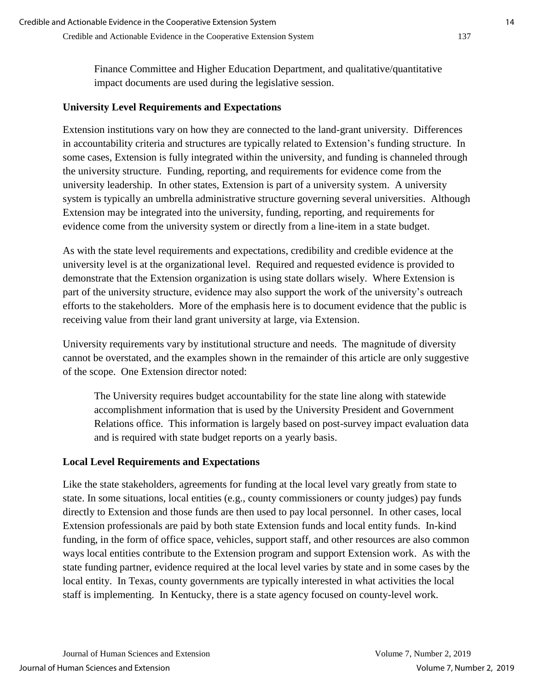Finance Committee and Higher Education Department, and qualitative/quantitative impact documents are used during the legislative session.

#### **University Level Requirements and Expectations**

Extension institutions vary on how they are connected to the land-grant university. Differences in accountability criteria and structures are typically related to Extension's funding structure. In some cases, Extension is fully integrated within the university, and funding is channeled through the university structure. Funding, reporting, and requirements for evidence come from the university leadership. In other states, Extension is part of a university system. A university system is typically an umbrella administrative structure governing several universities. Although Extension may be integrated into the university, funding, reporting, and requirements for evidence come from the university system or directly from a line-item in a state budget.

As with the state level requirements and expectations, credibility and credible evidence at the university level is at the organizational level. Required and requested evidence is provided to demonstrate that the Extension organization is using state dollars wisely. Where Extension is part of the university structure, evidence may also support the work of the university's outreach efforts to the stakeholders. More of the emphasis here is to document evidence that the public is receiving value from their land grant university at large, via Extension.

University requirements vary by institutional structure and needs. The magnitude of diversity cannot be overstated, and the examples shown in the remainder of this article are only suggestive of the scope. One Extension director noted:

The University requires budget accountability for the state line along with statewide accomplishment information that is used by the University President and Government Relations office. This information is largely based on post-survey impact evaluation data and is required with state budget reports on a yearly basis.

#### **Local Level Requirements and Expectations**

Like the state stakeholders, agreements for funding at the local level vary greatly from state to state. In some situations, local entities (e.g., county commissioners or county judges) pay funds directly to Extension and those funds are then used to pay local personnel. In other cases, local Extension professionals are paid by both state Extension funds and local entity funds. In-kind funding, in the form of office space, vehicles, support staff, and other resources are also common ways local entities contribute to the Extension program and support Extension work. As with the state funding partner, evidence required at the local level varies by state and in some cases by the local entity. In Texas, county governments are typically interested in what activities the local staff is implementing. In Kentucky, there is a state agency focused on county-level work.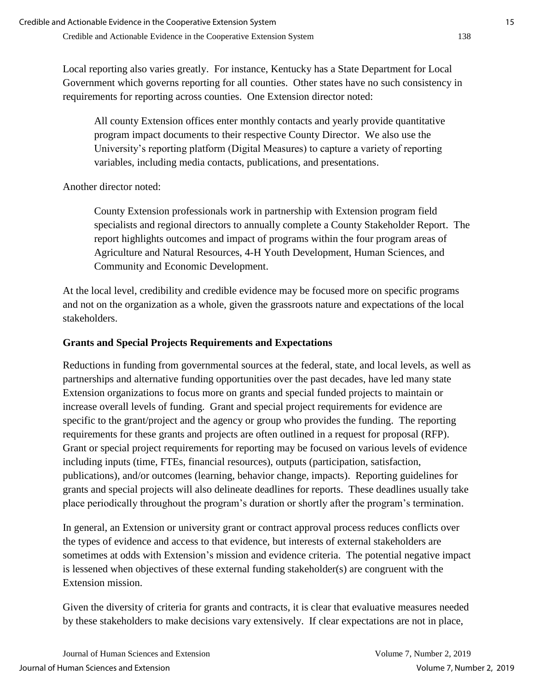Local reporting also varies greatly. For instance, Kentucky has a State Department for Local Government which governs reporting for all counties. Other states have no such consistency in requirements for reporting across counties. One Extension director noted:

All county Extension offices enter monthly contacts and yearly provide quantitative program impact documents to their respective County Director. We also use the University's reporting platform (Digital Measures) to capture a variety of reporting variables, including media contacts, publications, and presentations.

Another director noted:

County Extension professionals work in partnership with Extension program field specialists and regional directors to annually complete a County Stakeholder Report. The report highlights outcomes and impact of programs within the four program areas of Agriculture and Natural Resources, 4-H Youth Development, Human Sciences, and Community and Economic Development.

At the local level, credibility and credible evidence may be focused more on specific programs and not on the organization as a whole, given the grassroots nature and expectations of the local stakeholders.

# **Grants and Special Projects Requirements and Expectations**

Reductions in funding from governmental sources at the federal, state, and local levels, as well as partnerships and alternative funding opportunities over the past decades, have led many state Extension organizations to focus more on grants and special funded projects to maintain or increase overall levels of funding. Grant and special project requirements for evidence are specific to the grant/project and the agency or group who provides the funding. The reporting requirements for these grants and projects are often outlined in a request for proposal (RFP). Grant or special project requirements for reporting may be focused on various levels of evidence including inputs (time, FTEs, financial resources), outputs (participation, satisfaction, publications), and/or outcomes (learning, behavior change, impacts). Reporting guidelines for grants and special projects will also delineate deadlines for reports. These deadlines usually take place periodically throughout the program's duration or shortly after the program's termination.

In general, an Extension or university grant or contract approval process reduces conflicts over the types of evidence and access to that evidence, but interests of external stakeholders are sometimes at odds with Extension's mission and evidence criteria. The potential negative impact is lessened when objectives of these external funding stakeholder(s) are congruent with the Extension mission.

Given the diversity of criteria for grants and contracts, it is clear that evaluative measures needed by these stakeholders to make decisions vary extensively. If clear expectations are not in place,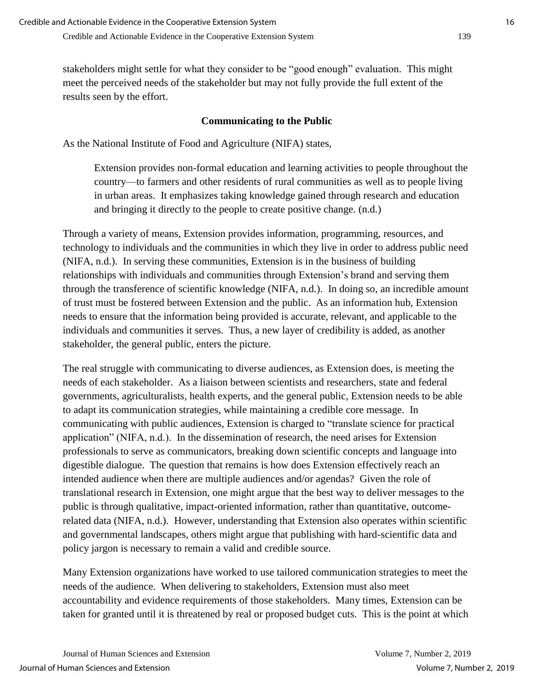stakeholders might settle for what they consider to be "good enough" evaluation. This might meet the perceived needs of the stakeholder but may not fully provide the full extent of the results seen by the effort.

# **Communicating to the Public**

As the National Institute of Food and Agriculture (NIFA) states,

Extension provides non-formal education and learning activities to people throughout the country—to farmers and other residents of rural communities as well as to people living in urban areas. It emphasizes taking knowledge gained through research and education and bringing it directly to the people to create positive change. (n.d.)

Through a variety of means, Extension provides information, programming, resources, and technology to individuals and the communities in which they live in order to address public need (NIFA, n.d.). In serving these communities, Extension is in the business of building relationships with individuals and communities through Extension's brand and serving them through the transference of scientific knowledge (NIFA, n.d.). In doing so, an incredible amount of trust must be fostered between Extension and the public. As an information hub, Extension needs to ensure that the information being provided is accurate, relevant, and applicable to the individuals and communities it serves. Thus, a new layer of credibility is added, as another stakeholder, the general public, enters the picture.

The real struggle with communicating to diverse audiences, as Extension does, is meeting the needs of each stakeholder. As a liaison between scientists and researchers, state and federal governments, agriculturalists, health experts, and the general public, Extension needs to be able to adapt its communication strategies, while maintaining a credible core message. In communicating with public audiences, Extension is charged to "translate science for practical application" (NIFA, n.d.). In the dissemination of research, the need arises for Extension professionals to serve as communicators, breaking down scientific concepts and language into digestible dialogue. The question that remains is how does Extension effectively reach an intended audience when there are multiple audiences and/or agendas? Given the role of translational research in Extension, one might argue that the best way to deliver messages to the public is through qualitative, impact-oriented information, rather than quantitative, outcomerelated data (NIFA, n.d.). However, understanding that Extension also operates within scientific and governmental landscapes, others might argue that publishing with hard-scientific data and policy jargon is necessary to remain a valid and credible source.

Many Extension organizations have worked to use tailored communication strategies to meet the needs of the audience. When delivering to stakeholders, Extension must also meet accountability and evidence requirements of those stakeholders. Many times, Extension can be taken for granted until it is threatened by real or proposed budget cuts. This is the point at which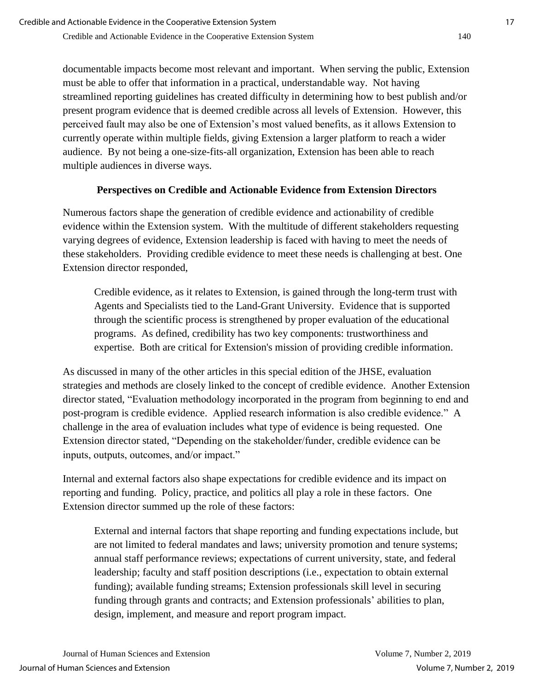documentable impacts become most relevant and important. When serving the public, Extension must be able to offer that information in a practical, understandable way. Not having streamlined reporting guidelines has created difficulty in determining how to best publish and/or present program evidence that is deemed credible across all levels of Extension. However, this perceived fault may also be one of Extension's most valued benefits, as it allows Extension to currently operate within multiple fields, giving Extension a larger platform to reach a wider audience. By not being a one-size-fits-all organization, Extension has been able to reach multiple audiences in diverse ways.

## **Perspectives on Credible and Actionable Evidence from Extension Directors**

Numerous factors shape the generation of credible evidence and actionability of credible evidence within the Extension system. With the multitude of different stakeholders requesting varying degrees of evidence, Extension leadership is faced with having to meet the needs of these stakeholders. Providing credible evidence to meet these needs is challenging at best. One Extension director responded,

Credible evidence, as it relates to Extension, is gained through the long-term trust with Agents and Specialists tied to the Land-Grant University. Evidence that is supported through the scientific process is strengthened by proper evaluation of the educational programs. As defined, credibility has two key components: trustworthiness and expertise. Both are critical for Extension's mission of providing credible information.

As discussed in many of the other articles in this special edition of the JHSE, evaluation strategies and methods are closely linked to the concept of credible evidence. Another Extension director stated, "Evaluation methodology incorporated in the program from beginning to end and post-program is credible evidence. Applied research information is also credible evidence." A challenge in the area of evaluation includes what type of evidence is being requested. One Extension director stated, "Depending on the stakeholder/funder, credible evidence can be inputs, outputs, outcomes, and/or impact."

Internal and external factors also shape expectations for credible evidence and its impact on reporting and funding. Policy, practice, and politics all play a role in these factors. One Extension director summed up the role of these factors:

External and internal factors that shape reporting and funding expectations include, but are not limited to federal mandates and laws; university promotion and tenure systems; annual staff performance reviews; expectations of current university, state, and federal leadership; faculty and staff position descriptions (i.e., expectation to obtain external funding); available funding streams; Extension professionals skill level in securing funding through grants and contracts; and Extension professionals' abilities to plan, design, implement, and measure and report program impact.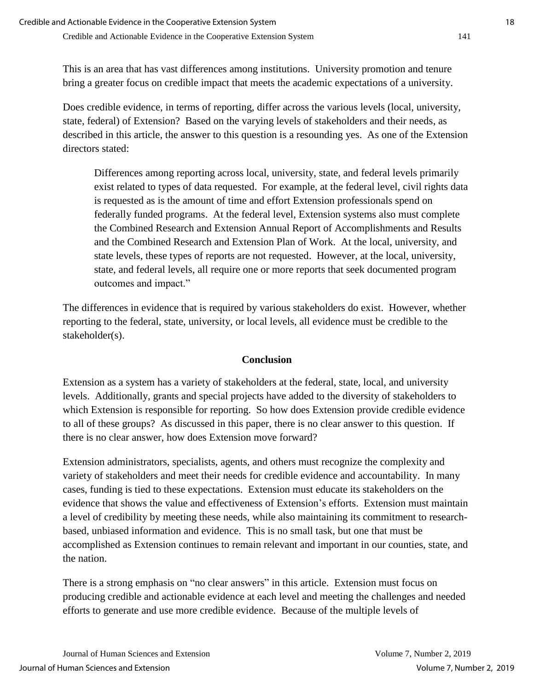This is an area that has vast differences among institutions. University promotion and tenure bring a greater focus on credible impact that meets the academic expectations of a university.

Does credible evidence, in terms of reporting, differ across the various levels (local, university, state, federal) of Extension? Based on the varying levels of stakeholders and their needs, as described in this article, the answer to this question is a resounding yes. As one of the Extension directors stated:

Differences among reporting across local, university, state, and federal levels primarily exist related to types of data requested. For example, at the federal level, civil rights data is requested as is the amount of time and effort Extension professionals spend on federally funded programs. At the federal level, Extension systems also must complete the Combined Research and Extension Annual Report of Accomplishments and Results and the Combined Research and Extension Plan of Work. At the local, university, and state levels, these types of reports are not requested. However, at the local, university, state, and federal levels, all require one or more reports that seek documented program outcomes and impact."

The differences in evidence that is required by various stakeholders do exist. However, whether reporting to the federal, state, university, or local levels, all evidence must be credible to the stakeholder(s).

## **Conclusion**

Extension as a system has a variety of stakeholders at the federal, state, local, and university levels. Additionally, grants and special projects have added to the diversity of stakeholders to which Extension is responsible for reporting. So how does Extension provide credible evidence to all of these groups? As discussed in this paper, there is no clear answer to this question. If there is no clear answer, how does Extension move forward?

Extension administrators, specialists, agents, and others must recognize the complexity and variety of stakeholders and meet their needs for credible evidence and accountability. In many cases, funding is tied to these expectations. Extension must educate its stakeholders on the evidence that shows the value and effectiveness of Extension's efforts. Extension must maintain a level of credibility by meeting these needs, while also maintaining its commitment to researchbased, unbiased information and evidence. This is no small task, but one that must be accomplished as Extension continues to remain relevant and important in our counties, state, and the nation.

There is a strong emphasis on "no clear answers" in this article. Extension must focus on producing credible and actionable evidence at each level and meeting the challenges and needed efforts to generate and use more credible evidence. Because of the multiple levels of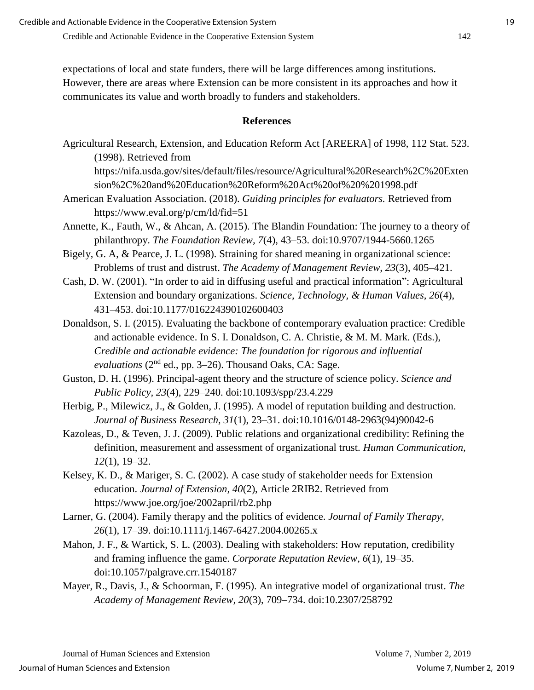expectations of local and state funders, there will be large differences among institutions. However, there are areas where Extension can be more consistent in its approaches and how it communicates its value and worth broadly to funders and stakeholders.

#### **References**

Agricultural Research, Extension, and Education Reform Act [AREERA] of 1998, 112 Stat. 523. (1998). Retrieved from

https://nifa.usda.gov/sites/default/files/resource/Agricultural%20Research%2C%20Exten sion%2C%20and%20Education%20Reform%20Act%20of%20%201998.pdf

- American Evaluation Association. (2018). *Guiding principles for evaluators.* Retrieved from https://www.eval.org/p/cm/ld/fid=51
- Annette, K., Fauth, W., & Ahcan, A. (2015). The Blandin Foundation: The journey to a theory of philanthropy. *The Foundation Review, 7*(4), 43–53. doi:10.9707/1944-5660.1265
- Bigely, G. A, & Pearce, J. L. (1998). Straining for shared meaning in organizational science: Problems of trust and distrust. *The Academy of Management Review, 23*(3), 405–421.
- Cash, D. W. (2001). "In order to aid in diffusing useful and practical information": Agricultural Extension and boundary organizations. *Science, Technology, & Human Values, 26*(4), 431–453. doi:10.1177/016224390102600403
- Donaldson, S. I. (2015). Evaluating the backbone of contemporary evaluation practice: Credible and actionable evidence. In S. I. Donaldson, C. A. Christie, & M. M. Mark. (Eds.), *Credible and actionable evidence: The foundation for rigorous and influential evaluations* (2nd ed., pp. 3–26). Thousand Oaks, CA: Sage.
- Guston, D. H. (1996). Principal-agent theory and the structure of science policy. *Science and Public Policy, 23*(4), 229–240. doi:10.1093/spp/23.4.229
- Herbig, P., Milewicz, J., & Golden, J. (1995). A model of reputation building and destruction. *Journal of Business Research, 31*(1), 23–31. doi:10.1016/0148-2963(94)90042-6
- Kazoleas, D., & Teven, J. J. (2009). Public relations and organizational credibility: Refining the definition, measurement and assessment of organizational trust. *Human Communication, 12*(1), 19–32.
- Kelsey, K. D., & Mariger, S. C. (2002). A case study of stakeholder needs for Extension education. *Journal of Extension, 40*(2), Article 2RIB2. Retrieved from https://www.joe.org/joe/2002april/rb2.php
- Larner, G. (2004). Family therapy and the politics of evidence. *Journal of Family Therapy, 26*(1)*,* 17–39. doi:10.1111/j.1467-6427.2004.00265.x
- Mahon, J. F., & Wartick, S. L. (2003). Dealing with stakeholders: How reputation, credibility and framing influence the game. *Corporate Reputation Review, 6*(1), 19–35. doi:10.1057/palgrave.crr.1540187
- Mayer, R., Davis, J., & Schoorman, F. (1995). An integrative model of organizational trust. *The Academy of Management Review, 20*(3), 709–734. doi:10.2307/258792